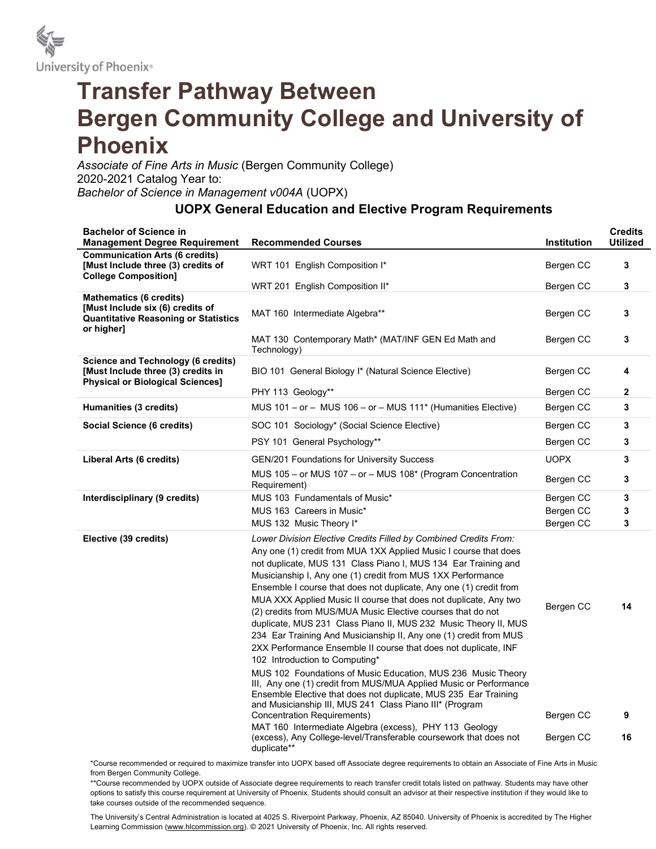

## Transfer Pathway Between Bergen Community College and University of Phoenix

Associate of Fine Arts in Music (Bergen Community College) 2020-2021 Catalog Year to: Bachelor of Science in Management v004A (UOPX)

## UOPX General Education and Elective Program Requirements

| <b>Bachelor of Science in</b><br><b>Management Degree Requirement</b>                                                           | <b>Recommended Courses</b>                                                                                                                                                                                                                                                                                                                                                                                                                                                                                                                                                                                                                                                                                                                                                                                                                                       | <b>Institution</b>     | <b>Credits</b><br><b>Utilized</b> |
|---------------------------------------------------------------------------------------------------------------------------------|------------------------------------------------------------------------------------------------------------------------------------------------------------------------------------------------------------------------------------------------------------------------------------------------------------------------------------------------------------------------------------------------------------------------------------------------------------------------------------------------------------------------------------------------------------------------------------------------------------------------------------------------------------------------------------------------------------------------------------------------------------------------------------------------------------------------------------------------------------------|------------------------|-----------------------------------|
| <b>Communication Arts (6 credits)</b><br>[Must Include three (3) credits of<br><b>College Composition]</b>                      | WRT 101 English Composition I*                                                                                                                                                                                                                                                                                                                                                                                                                                                                                                                                                                                                                                                                                                                                                                                                                                   | Bergen CC              | 3                                 |
|                                                                                                                                 | WRT 201 English Composition II*                                                                                                                                                                                                                                                                                                                                                                                                                                                                                                                                                                                                                                                                                                                                                                                                                                  | Bergen CC              | 3                                 |
| <b>Mathematics (6 credits)</b><br>[Must Include six (6) credits of<br><b>Quantitative Reasoning or Statistics</b><br>or higher] | MAT 160 Intermediate Algebra**                                                                                                                                                                                                                                                                                                                                                                                                                                                                                                                                                                                                                                                                                                                                                                                                                                   | Bergen CC              | 3                                 |
|                                                                                                                                 | MAT 130 Contemporary Math* (MAT/INF GEN Ed Math and<br>Technology)                                                                                                                                                                                                                                                                                                                                                                                                                                                                                                                                                                                                                                                                                                                                                                                               | Bergen CC              | 3                                 |
| Science and Technology (6 credits)<br>[Must Include three (3) credits in<br><b>Physical or Biological Sciences]</b>             | BIO 101 General Biology I* (Natural Science Elective)                                                                                                                                                                                                                                                                                                                                                                                                                                                                                                                                                                                                                                                                                                                                                                                                            | Bergen CC              | 4                                 |
|                                                                                                                                 | PHY 113 Geology**                                                                                                                                                                                                                                                                                                                                                                                                                                                                                                                                                                                                                                                                                                                                                                                                                                                | Bergen CC              | 2                                 |
| Humanities (3 credits)                                                                                                          | MUS $101 - or - MUS$ 106 - or - MUS $111*$ (Humanities Elective)                                                                                                                                                                                                                                                                                                                                                                                                                                                                                                                                                                                                                                                                                                                                                                                                 | Bergen CC              | 3                                 |
| Social Science (6 credits)                                                                                                      | SOC 101 Sociology* (Social Science Elective)                                                                                                                                                                                                                                                                                                                                                                                                                                                                                                                                                                                                                                                                                                                                                                                                                     | Bergen CC              | 3                                 |
|                                                                                                                                 | PSY 101 General Psychology**                                                                                                                                                                                                                                                                                                                                                                                                                                                                                                                                                                                                                                                                                                                                                                                                                                     | Bergen CC              | 3                                 |
| Liberal Arts (6 credits)                                                                                                        | <b>GEN/201 Foundations for University Success</b>                                                                                                                                                                                                                                                                                                                                                                                                                                                                                                                                                                                                                                                                                                                                                                                                                | <b>UOPX</b>            | 3                                 |
|                                                                                                                                 | MUS 105 - or MUS 107 - or - MUS 108* (Program Concentration<br>Requirement)                                                                                                                                                                                                                                                                                                                                                                                                                                                                                                                                                                                                                                                                                                                                                                                      | Bergen CC              | 3                                 |
| Interdisciplinary (9 credits)                                                                                                   | MUS 103 Fundamentals of Music*                                                                                                                                                                                                                                                                                                                                                                                                                                                                                                                                                                                                                                                                                                                                                                                                                                   | Bergen CC              | 3                                 |
|                                                                                                                                 | MUS 163 Careers in Music*                                                                                                                                                                                                                                                                                                                                                                                                                                                                                                                                                                                                                                                                                                                                                                                                                                        | Bergen CC              | 3                                 |
|                                                                                                                                 | MUS 132 Music Theory I*                                                                                                                                                                                                                                                                                                                                                                                                                                                                                                                                                                                                                                                                                                                                                                                                                                          | Bergen CC              | 3                                 |
| Elective (39 credits)                                                                                                           | Lower Division Elective Credits Filled by Combined Credits From:<br>Any one (1) credit from MUA 1XX Applied Music I course that does<br>not duplicate, MUS 131 Class Piano I, MUS 134 Ear Training and<br>Musicianship I, Any one (1) credit from MUS 1XX Performance<br>Ensemble I course that does not duplicate, Any one (1) credit from<br>MUA XXX Applied Music II course that does not duplicate, Any two<br>(2) credits from MUS/MUA Music Elective courses that do not<br>duplicate, MUS 231 Class Piano II, MUS 232 Music Theory II, MUS<br>234 Ear Training And Musicianship II, Any one (1) credit from MUS<br>2XX Performance Ensemble II course that does not duplicate, INF<br>102 Introduction to Computing*<br>MUS 102 Foundations of Music Education, MUS 236 Music Theory<br>III, Any one (1) credit from MUS/MUA Applied Music or Performance | Bergen CC              | 14                                |
|                                                                                                                                 | Ensemble Elective that does not duplicate, MUS 235 Ear Training<br>and Musicianship III, MUS 241 Class Piano III* (Program<br>Concentration Requirements)<br>MAT 160 Intermediate Algebra (excess), PHY 113 Geology<br>(excess), Any College-level/Transferable coursework that does not<br>duplicate**                                                                                                                                                                                                                                                                                                                                                                                                                                                                                                                                                          | Bergen CC<br>Bergen CC | 9<br>16                           |

\*Course recommended or required to maximize transfer into UOPX based off Associate degree requirements to obtain an Associate of Fine Arts in Music from Bergen Community College.

\*\*Course recommended by UOPX outside of Associate degree requirements to reach transfer credit totals listed on pathway. Students may have other options to satisfy this course requirement at University of Phoenix. Students should consult an advisor at their respective institution if they would like to take courses outside of the recommended sequence.

The University's Central Administration is located at 4025 S. Riverpoint Parkway, Phoenix, AZ 85040. University of Phoenix is accredited by The Higher Learning Commission (www.hlcommission.org). © 2021 University of Phoenix, Inc. All rights reserved.